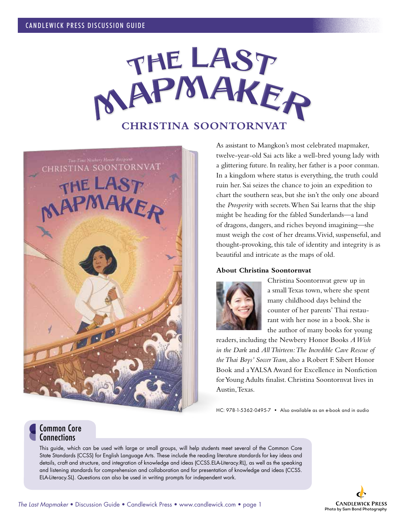



As assistant to Mangkon's most celebrated mapmaker, twelve-year-old Sai acts like a well-bred young lady with a glittering future. In reality, her father is a poor conman. In a kingdom where status is everything, the truth could ruin her. Sai seizes the chance to join an expedition to chart the southern seas, but she isn't the only one aboard the *Prosperity* with secrets. When Sai learns that the ship might be heading for the fabled Sunderlands—a land of dragons, dangers, and riches beyond imagining—she must weigh the cost of her dreams. Vivid, suspenseful, and thought-provoking, this tale of identity and integrity is as beautiful and intricate as the maps of old.

## **About Christina Soontornvat**



Christina Soontornvat grew up in a small Texas town, where she spent many childhood days behind the counter of her parents' Thai restaurant with her nose in a book. She is the author of many books for young

readers, including the Newbery Honor Books *A Wish in the Dark* and *All Thirteen: The Incredible Cave Rescue of the Thai Boys' Soccer Team*,also a Robert F. Sibert Honor Book and a YALSA Award for Excellence in Nonfiction for Young Adults finalist. Christina Soontornvat lives in Austin, Texas.

HC: 978-1-5362-0495-7 • Also available as an e-book and in audio

## Common Core **Connections**

This guide, which can be used with large or small groups, will help students meet several of the Common Core State Standards (CCSS) for English Language Arts. These include the reading literature standards for key ideas and details, craft and structure, and integration of knowledge and ideas (CCSS.ELA-Literacy.RL), as well as the speaking and listening standards for comprehension and collaboration and for presentation of knowledge and ideas (CCSS. ELA-Literacy.SL). Questions can also be used in writing prompts for independent work.